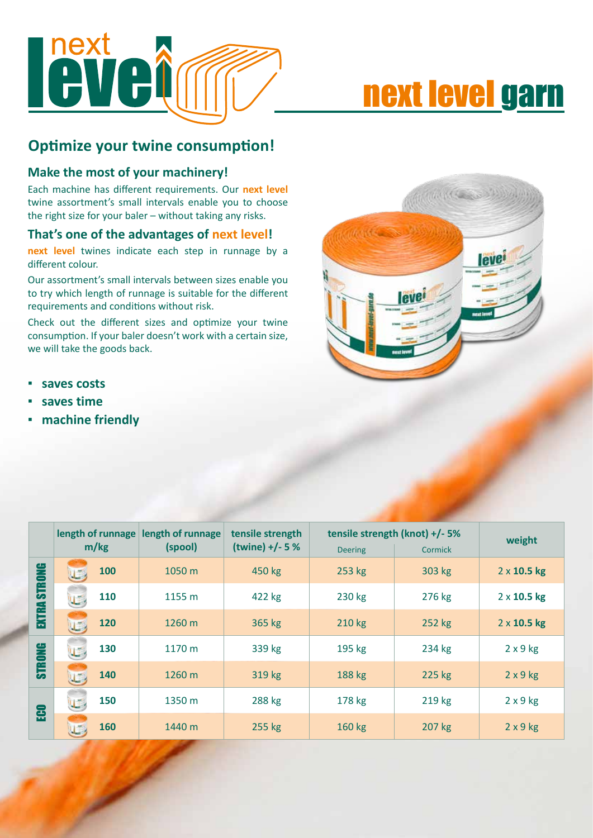

# next level garn

#### **Optimize your twine consumption!**

#### **Make the most of your machinery!**

Each machine has different requirements. Our **next level**  twine assortment's small intervals enable you to choose the right size for your baler – without taking any risks.

#### **That's one of the advantages of next level!**

**next level** twines indicate each step in runnage by a different colour.

Our assortment's small intervals between sizes enable you to try which length of runnage is suitable for the different requirements and conditions without risk.

Check out the different sizes and optimize your twine consumption. If your baler doesn't work with a certain size, we will take the goods back.

- **▪ saves costs**
- **▪ saves time**
- **▪ machine friendly**



|               | length of runnage<br>m/kg | length of runnage<br>(spool) | tensile strength<br>$(twine) + (-5%)$ | tensile strength (knot) +/- 5% |         | weight             |
|---------------|---------------------------|------------------------------|---------------------------------------|--------------------------------|---------|--------------------|
|               |                           |                              |                                       | <b>Deering</b>                 | Cormick |                    |
| <b>STRONG</b> | 100                       | 1050 m                       | 450 kg                                | 253 kg                         | 303 kg  | $2 \times 10.5$ kg |
|               | 110<br>U                  | 1155 m                       | 422 kg                                | 230 kg                         | 276 kg  | $2 \times 10.5$ kg |
| <b>EXTRA</b>  | 120                       | 1260 m                       | 365 kg                                | 210 kg                         | 252 kg  | $2 \times 10.5$ kg |
| STRONG        | 130<br>U.                 | 1170 m                       | 339 kg                                | 195 kg                         | 234 kg  | $2 \times 9$ kg    |
|               | 140                       | 1260 m                       | 319 kg                                | 188 kg                         | 225 kg  | $2 \times 9$ kg    |
| æ             | 150<br>U.                 | 1350 m                       | 288 kg                                | 178 kg                         | 219 kg  | $2 \times 9$ kg    |
|               | 160                       | 1440 m                       | 255 kg                                | 160 kg                         | 207 kg  | $2 \times 9$ kg    |